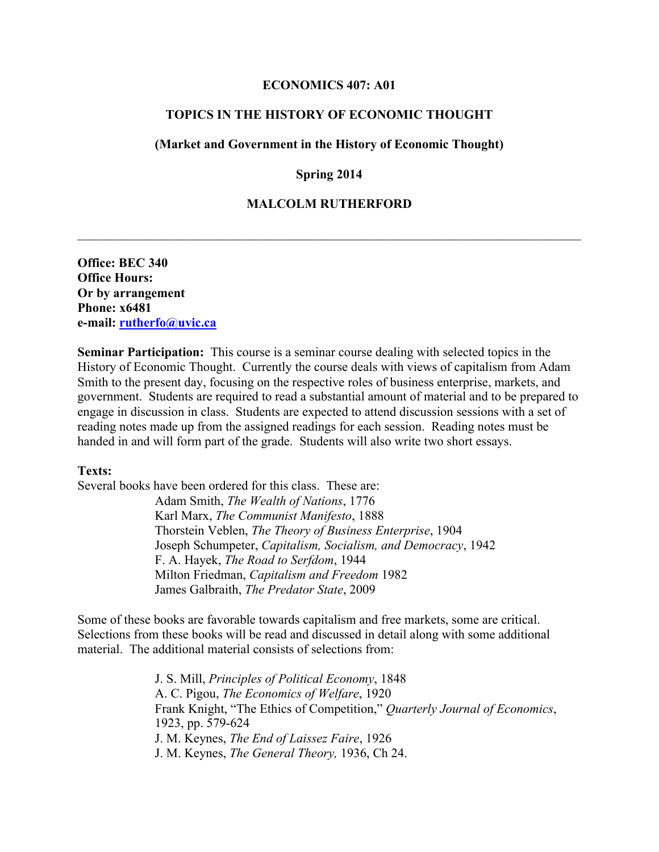### **ECONOMICS 407: A01**

# **TOPICS IN THE HISTORY OF ECONOMIC THOUGHT**

## **(Market and Government in the History of Economic Thought)**

## **Spring 2014**

# **MALCOLM RUTHERFORD**

 $\mathcal{L}_\mathcal{L} = \{ \mathcal{L}_\mathcal{L} = \{ \mathcal{L}_\mathcal{L} = \{ \mathcal{L}_\mathcal{L} = \{ \mathcal{L}_\mathcal{L} = \{ \mathcal{L}_\mathcal{L} = \{ \mathcal{L}_\mathcal{L} = \{ \mathcal{L}_\mathcal{L} = \{ \mathcal{L}_\mathcal{L} = \{ \mathcal{L}_\mathcal{L} = \{ \mathcal{L}_\mathcal{L} = \{ \mathcal{L}_\mathcal{L} = \{ \mathcal{L}_\mathcal{L} = \{ \mathcal{L}_\mathcal{L} = \{ \mathcal{L}_\mathcal{$ 

**Office: BEC 340 Office Hours: Or by arrangement Phone: x6481 e-mail: rutherfo@uvic.ca**

**Seminar Participation:** This course is a seminar course dealing with selected topics in the History of Economic Thought. Currently the course deals with views of capitalism from Adam Smith to the present day, focusing on the respective roles of business enterprise, markets, and government. Students are required to read a substantial amount of material and to be prepared to engage in discussion in class. Students are expected to attend discussion sessions with a set of reading notes made up from the assigned readings for each session. Reading notes must be handed in and will form part of the grade. Students will also write two short essays.

#### **Texts:**

Several books have been ordered for this class. These are:

Adam Smith, *The Wealth of Nations*, 1776 Karl Marx, *The Communist Manifesto*, 1888 Thorstein Veblen, *The Theory of Business Enterprise*, 1904 Joseph Schumpeter, *Capitalism, Socialism, and Democracy*, 1942 F. A. Hayek, *The Road to Serfdom*, 1944 Milton Friedman, *Capitalism and Freedom* 1982 James Galbraith, *The Predator State*, 2009

Some of these books are favorable towards capitalism and free markets, some are critical. Selections from these books will be read and discussed in detail along with some additional material. The additional material consists of selections from:

> J. S. Mill, *Principles of Political Economy*, 1848 A. C. Pigou, *The Economics of Welfare*, 1920 Frank Knight, "The Ethics of Competition," *Quarterly Journal of Economics*, 1923, pp. 579-624 J. M. Keynes, *The End of Laissez Faire*, 1926 J. M. Keynes, *The General Theory,* 1936, Ch 24.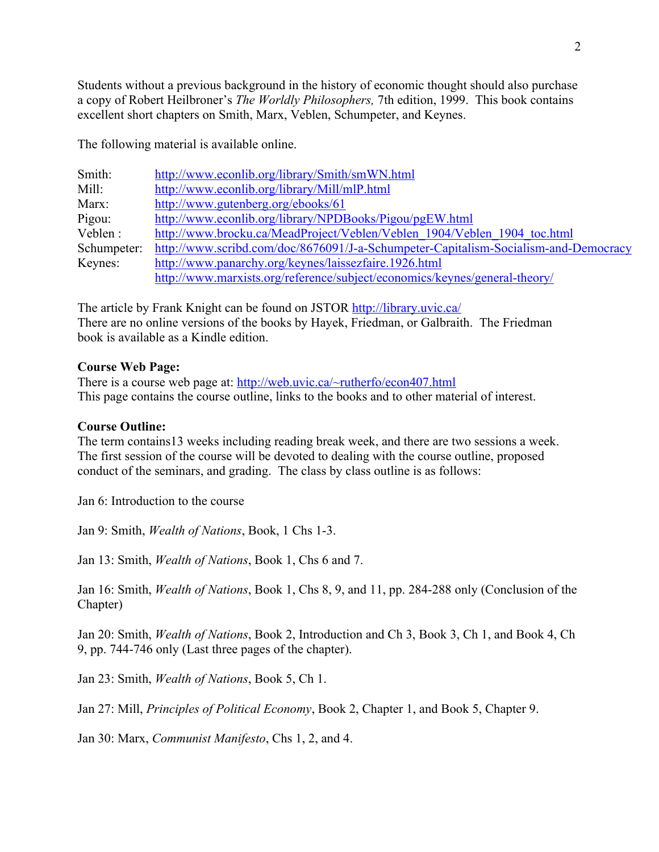Students without a previous background in the history of economic thought should also purchase a copy of Robert Heilbroner's *The Worldly Philosophers,* 7th edition, 1999. This book contains excellent short chapters on Smith, Marx, Veblen, Schumpeter, and Keynes.

The following material is available online.

| Smith:      | http://www.econlib.org/library/Smith/smWN.html                                      |  |  |  |  |
|-------------|-------------------------------------------------------------------------------------|--|--|--|--|
| Mill:       | http://www.econlib.org/library/Mill/mlP.html                                        |  |  |  |  |
| Marx:       | http://www.gutenberg.org/ebooks/61                                                  |  |  |  |  |
| Pigou:      | http://www.econlib.org/library/NPDBooks/Pigou/pgEW.html                             |  |  |  |  |
| Veblen:     | http://www.brocku.ca/MeadProject/Veblen/Veblen 1904/Veblen 1904 toc.html            |  |  |  |  |
| Schumpeter: | http://www.scribd.com/doc/8676091/J-a-Schumpeter-Capitalism-Socialism-and-Democracy |  |  |  |  |
| Keynes:     | http://www.panarchy.org/keynes/laissezfaire.1926.html                               |  |  |  |  |
|             | http://www.marxists.org/reference/subject/economics/keynes/general-theory/          |  |  |  |  |

The article by Frank Knight can be found on JSTOR http://library.uvic.ca/ There are no online versions of the books by Hayek, Friedman, or Galbraith. The Friedman book is available as a Kindle edition.

# **Course Web Page:**

There is a course web page at: http://web.uvic.ca/~rutherfo/econ407.html This page contains the course outline, links to the books and to other material of interest.

## **Course Outline:**

The term contains13 weeks including reading break week, and there are two sessions a week. The first session of the course will be devoted to dealing with the course outline, proposed conduct of the seminars, and grading. The class by class outline is as follows:

Jan 6: Introduction to the course

Jan 9: Smith, *Wealth of Nations*, Book, 1 Chs 1-3.

Jan 13: Smith, *Wealth of Nations*, Book 1, Chs 6 and 7.

Jan 16: Smith, *Wealth of Nations*, Book 1, Chs 8, 9, and 11, pp. 284-288 only (Conclusion of the Chapter)

Jan 20: Smith, *Wealth of Nations*, Book 2, Introduction and Ch 3, Book 3, Ch 1, and Book 4, Ch 9, pp. 744-746 only (Last three pages of the chapter).

Jan 23: Smith, *Wealth of Nations*, Book 5, Ch 1.

Jan 27: Mill, *Principles of Political Economy*, Book 2, Chapter 1, and Book 5, Chapter 9.

Jan 30: Marx, *Communist Manifesto*, Chs 1, 2, and 4.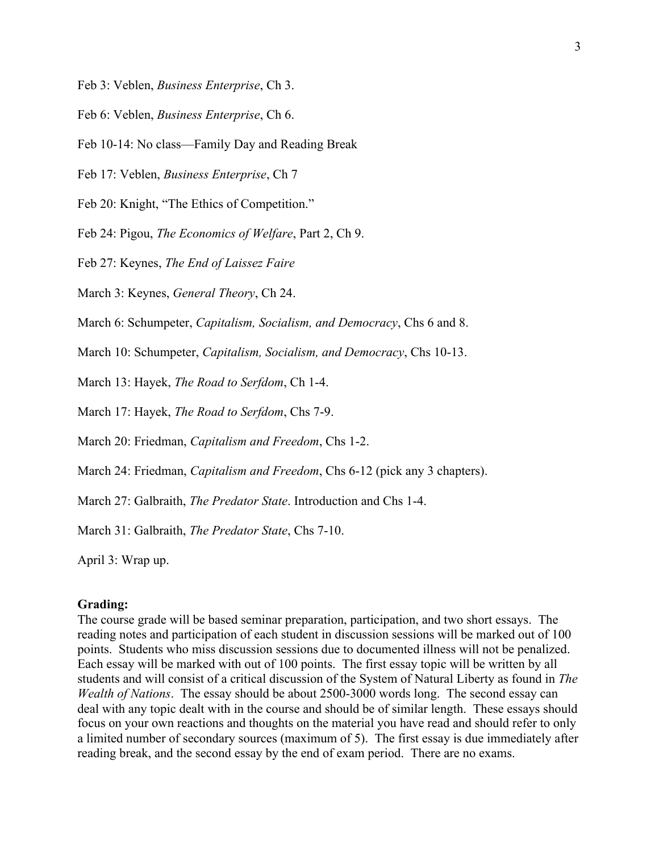- Feb 3: Veblen, *Business Enterprise*, Ch 3.
- Feb 6: Veblen, *Business Enterprise*, Ch 6.
- Feb 10-14: No class—Family Day and Reading Break
- Feb 17: Veblen, *Business Enterprise*, Ch 7
- Feb 20: Knight, "The Ethics of Competition."

Feb 24: Pigou, *The Economics of Welfare*, Part 2, Ch 9.

Feb 27: Keynes, *The End of Laissez Faire*

March 3: Keynes, *General Theory*, Ch 24.

March 6: Schumpeter, *Capitalism, Socialism, and Democracy*, Chs 6 and 8.

March 10: Schumpeter, *Capitalism, Socialism, and Democracy*, Chs 10-13.

March 13: Hayek, *The Road to Serfdom*, Ch 1-4.

March 17: Hayek, *The Road to Serfdom*, Chs 7-9.

March 20: Friedman, *Capitalism and Freedom*, Chs 1-2.

March 24: Friedman, *Capitalism and Freedom*, Chs 6-12 (pick any 3 chapters).

March 27: Galbraith, *The Predator State*. Introduction and Chs 1-4.

March 31: Galbraith, *The Predator State*, Chs 7-10.

April 3: Wrap up.

## **Grading:**

The course grade will be based seminar preparation, participation, and two short essays. The reading notes and participation of each student in discussion sessions will be marked out of 100 points. Students who miss discussion sessions due to documented illness will not be penalized. Each essay will be marked with out of 100 points. The first essay topic will be written by all students and will consist of a critical discussion of the System of Natural Liberty as found in *The Wealth of Nations*. The essay should be about 2500-3000 words long. The second essay can deal with any topic dealt with in the course and should be of similar length. These essays should focus on your own reactions and thoughts on the material you have read and should refer to only a limited number of secondary sources (maximum of 5). The first essay is due immediately after reading break, and the second essay by the end of exam period. There are no exams.